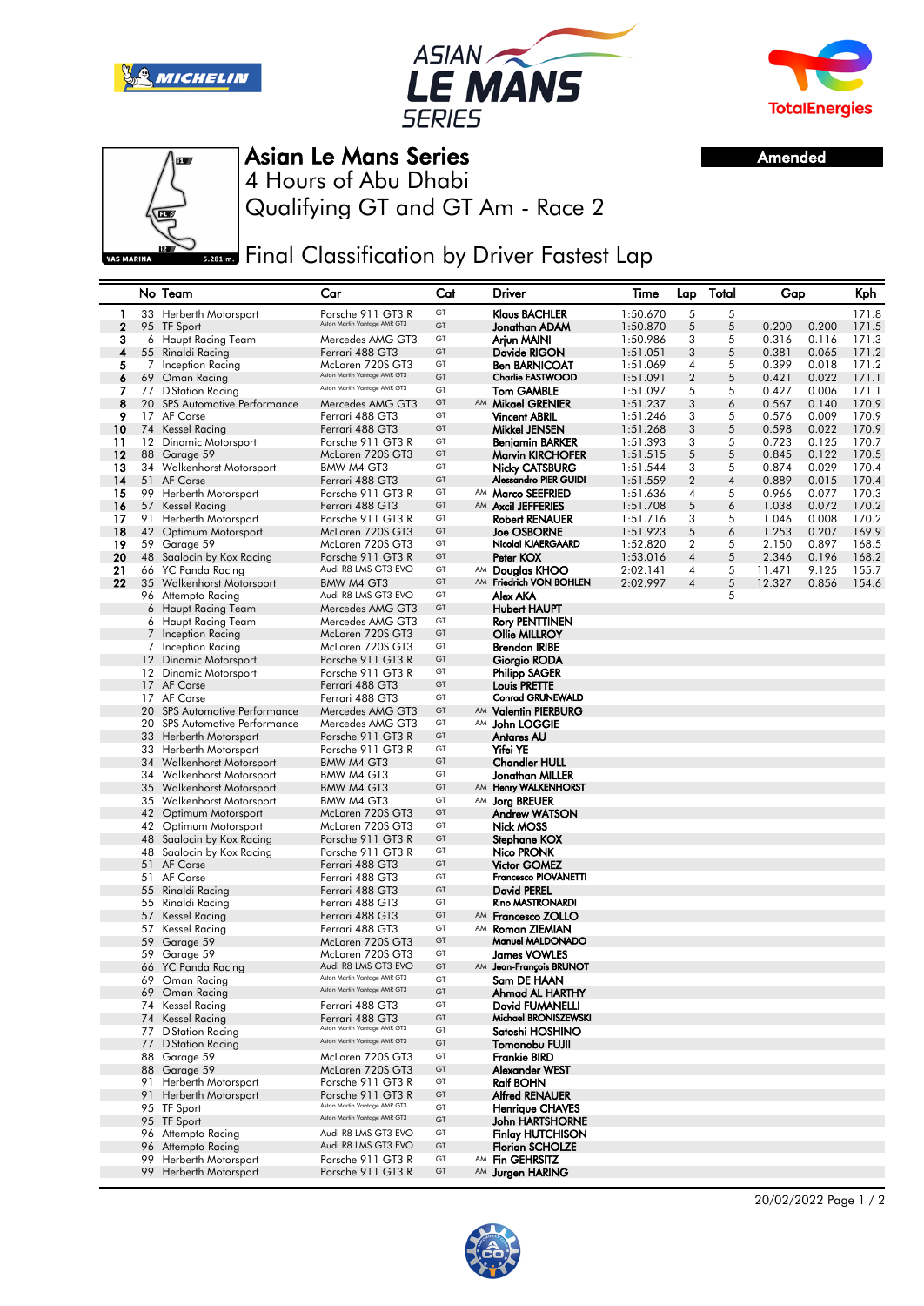





Amended



Asian Le Mans Series

Qualifying GT and GT Am - Race 2 4 Hours of Abu Dhabi

**Example Timal Classification by Driver Fastest Lap** 

|                |    | No Team                                                | Car                                                          | Cat      |    | Driver                                     | Time<br>Total<br>Lap<br>Gap |                  |        | Kph            |                |                |
|----------------|----|--------------------------------------------------------|--------------------------------------------------------------|----------|----|--------------------------------------------|-----------------------------|------------------|--------|----------------|----------------|----------------|
| 1              |    | 33 Herberth Motorsport                                 | Porsche 911 GT3 R                                            | GT       |    | Klaus BACHLER                              | 1:50.670                    | 5                | 5      |                |                | 171.8          |
| $\overline{2}$ |    | 95 TF Sport                                            | Aston Martin Vantage AMR GT3                                 | GT       |    | Jonathan ADAM                              | 1:50.870                    | 5                | 5      | 0.200          | 0.200          | 171.5          |
| з              |    | 6 Haupt Racing Team                                    | Mercedes AMG GT3                                             | GT       |    | Arjun MAINI                                | 1:50.986                    | 3                | 5      | 0.316          | 0.116          | 171.3          |
| 4              |    | 55 Rinaldi Racing                                      | Ferrari 488 GT3                                              | GT       |    | Davide RIGON                               | 1:51.051                    | 3                | 5      | 0.381          | 0.065          | 171.2          |
| 5              | 7  | Inception Racing                                       | McLaren 720S GT3                                             | GT       |    | <b>Ben BARNICOAT</b>                       | 1:51.069                    | 4                | 5      | 0.399          | 0.018          | 171.2          |
| 6              | 69 | Oman Racing                                            | Aston Martin Vantage AMR GT3                                 | GT       |    | <b>Charlie EASTWOOD</b>                    | 1:51.091                    | $\overline{2}$   | 5      | 0.421          | 0.022          | 171.1          |
| 7              |    | 77 D'Station Racing                                    | Aston Martin Vantage AMR GT3                                 | GT       |    | <b>Tom GAMBLE</b>                          | 1:51.097                    | 5                | 5      | 0.427          | 0.006          | 171.1          |
| 8              |    | 20 SPS Automotive Performance                          | Mercedes AMG GT3                                             | GT       |    | AM Mikael GRENIER                          | 1:51.237                    | 3                | 6      | 0.567          | 0.140          | 170.9          |
| 9              |    | 17 AF Corse                                            | Ferrari 488 GT3                                              | GT<br>GT |    | <b>Vincent ABRIL</b>                       | 1:51.246                    | 3                | 5      | 0.576          | 0.009          | 170.9          |
| 10<br>11       |    | 74 Kessel Racing                                       | Ferrari 488 GT3<br>Porsche 911 GT3 R                         | GT       |    | Mikkel JENSEN                              | 1:51.268                    | 3<br>3           | 5      | 0.598          | 0.022<br>0.125 | 170.9<br>170.7 |
| 12             |    | 12 Dinamic Motorsport<br>88 Garage 59                  | McLaren 720S GT3                                             | GT       |    | Benjamin BARKER<br><b>Marvin KIRCHOFER</b> | 1:51.393<br>1:51.515        | 5                | 5<br>5 | 0.723<br>0.845 | 0.122          | 170.5          |
| 13             |    | 34 Walkenhorst Motorsport                              | BMW M4 GT3                                                   | GT       |    | <b>Nicky CATSBURG</b>                      | 1:51.544                    | 3                | 5      | 0.874          | 0.029          | 170.4          |
| 14             |    | 51 AF Corse                                            | Ferrari 488 GT3                                              | GT       |    | Alessandro PIER GUIDI                      | 1:51.559                    | $\overline{2}$   | 4      | 0.889          | 0.015          | 170.4          |
| 15             |    | 99 Herberth Motorsport                                 | Porsche 911 GT3 R                                            | GT       |    | AM Marco SEEFRIED                          | 1:51.636                    | 4                | 5      | 0.966          | 0.077          | 170.3          |
| 16             |    | 57 Kessel Racing                                       | Ferrari 488 GT3                                              | GT       |    | AM Axcil JEFFERIES                         | 1:51.708                    | 5                | 6      | 1.038          | 0.072          | 170.2          |
| 17             |    | 91 Herberth Motorsport                                 | Porsche 911 GT3 R                                            | GT       |    | Robert RENAUER                             | 1:51.716                    | 3                | 5      | 1.046          | 0.008          | 170.2          |
| 18             |    | 42 Optimum Motorsport                                  | McLaren 720S GT3                                             | GT       |    | <b>Joe OSBORNE</b>                         | 1:51.923                    | 5                | 6      | 1.253          | 0.207          | 169.9          |
| 19             |    | 59 Garage 59                                           | McLaren 720S GT3                                             | GT       |    | Nicolai KJAERGAARD                         | 1:52.820                    | $\boldsymbol{2}$ | 5      | 2.150          | 0.897          | 168.5          |
| 20             |    | 48 Saalocin by Kox Racing                              | Porsche 911 GT3 R                                            | GT       |    | Peter KOX                                  | 1:53.016                    | 4                | 5      | 2.346          | 0.196          | 168.2          |
| 21             |    | 66 YC Panda Racing                                     | Audi R8 LMS GT3 EVO                                          | GT       |    | AM Douglas KHOO                            | 2:02.141                    | 4                | 5      | 11.471         | 9.125          | 155.7          |
| 22             |    | 35 Walkenhorst Motorsport                              | BMW M4 GT3                                                   | GT       |    | AM Friedrich VON BOHLEN                    | 2:02.997                    | 4                | 5      | 12.327         | 0.856          | 154.6          |
|                |    | 96 Attempto Racing                                     | Audi R8 LMS GT3 EVO                                          | GT       |    | Alex AKA                                   |                             |                  | 5      |                |                |                |
|                | 6  | Haupt Racing Team                                      | Mercedes AMG GT3                                             | GT       |    | <b>Hubert HAUPT</b>                        |                             |                  |        |                |                |                |
|                | 6  | Haupt Racing Team                                      | Mercedes AMG GT3                                             | GT       |    | Rory PENTTINEN                             |                             |                  |        |                |                |                |
|                | 7  | Inception Racing                                       | McLaren 720S GT3                                             | GT       |    | Ollie MILLROY                              |                             |                  |        |                |                |                |
|                | 7  | Inception Racing                                       | McLaren 720S GT3<br>Porsche 911 GT3 R                        | GT<br>GT |    | <b>Brendan IRIBE</b>                       |                             |                  |        |                |                |                |
|                | 12 | 12 Dinamic Motorsport<br>Dinamic Motorsport            | Porsche 911 GT3 R                                            | GT       |    | Giorgio RODA<br>Philipp SAGER              |                             |                  |        |                |                |                |
|                |    | 17 AF Corse                                            | Ferrari 488 GT3                                              | GT       |    | <b>Louis PRETTE</b>                        |                             |                  |        |                |                |                |
|                |    | 17 AF Corse                                            | Ferrari 488 GT3                                              | GT       |    | <b>Conrad GRUNEWALD</b>                    |                             |                  |        |                |                |                |
|                |    | 20 SPS Automotive Performance                          | Mercedes AMG GT3                                             | GT       |    | AM Valentin PIERBURG                       |                             |                  |        |                |                |                |
|                |    | 20 SPS Automotive Performance                          | Mercedes AMG GT3                                             | GT       |    | AM John LOGGIE                             |                             |                  |        |                |                |                |
|                |    | 33 Herberth Motorsport                                 | Porsche 911 GT3 R                                            | GT       |    | Antares AU                                 |                             |                  |        |                |                |                |
|                |    | 33 Herberth Motorsport                                 | Porsche 911 GT3 R                                            | GT       |    | Yifei YE                                   |                             |                  |        |                |                |                |
|                |    | 34 Walkenhorst Motorsport                              | BMW M4 GT3                                                   | GT       |    | <b>Chandler HULL</b>                       |                             |                  |        |                |                |                |
|                |    | 34 Walkenhorst Motorsport                              | BMW M4 GT3                                                   | GT       |    | Jonathan MILLER                            |                             |                  |        |                |                |                |
|                |    | 35 Walkenhorst Motorsport                              | BMW M4 GT3                                                   | GT       | AM | <b>Henry WALKENHORST</b>                   |                             |                  |        |                |                |                |
|                |    | 35 Walkenhorst Motorsport                              | BMW M4 GT3                                                   | GT       |    | AM Jorg BREUER                             |                             |                  |        |                |                |                |
|                |    | 42 Optimum Motorsport                                  | McLaren 720S GT3                                             | GT       |    | <b>Andrew WATSON</b>                       |                             |                  |        |                |                |                |
|                |    | 42 Optimum Motorsport                                  | McLaren 720S GT3                                             | GT       |    | Nick MOSS                                  |                             |                  |        |                |                |                |
|                |    | 48 Saalocin by Kox Racing<br>48 Saalocin by Kox Racing | Porsche 911 GT3 R<br>Porsche 911 GT3 R                       | GT<br>GT |    | Stephane KOX<br>Nico PRONK                 |                             |                  |        |                |                |                |
|                |    | 51 AF Corse                                            | Ferrari 488 GT3                                              | GT       |    | <b>Victor GOMEZ</b>                        |                             |                  |        |                |                |                |
|                |    | 51 AF Corse                                            | Ferrari 488 GT3                                              | GT       |    | Francesco PIOVANETTI                       |                             |                  |        |                |                |                |
|                |    | 55 Rinaldi Racing                                      | Ferrari 488 GT3                                              | GT       |    | <b>David PEREL</b>                         |                             |                  |        |                |                |                |
|                |    | 55 Rinaldi Racing                                      | Ferrari 488 GT3                                              | GT       |    | Rino MASTRONARDI                           |                             |                  |        |                |                |                |
|                | 57 | <b>Kessel Racing</b>                                   | Ferrari 488 GT3                                              | GT       |    | AM Francesco ZOLLO                         |                             |                  |        |                |                |                |
|                |    | 57 Kessel Racing                                       | Ferrari 488 GT3                                              | GT       | AM | Roman ZIEMIAN                              |                             |                  |        |                |                |                |
|                | 59 | Garage 59                                              | McLaren 720S GT3                                             | GT       |    | Manuel MALDONADO                           |                             |                  |        |                |                |                |
|                |    | 59 Garage 59                                           | McLaren 720S GT3                                             | GT       |    | <b>James VOWLES</b>                        |                             |                  |        |                |                |                |
|                |    | 66 YC Panda Racing                                     | Audi R8 LMS GT3 EVO                                          | GT       |    | AM Jean-François BRUNOT                    |                             |                  |        |                |                |                |
|                |    | 69 Oman Racing                                         | Aston Martin Vantage AMR GT3<br>Aston Martin Vantage AMR GT3 | GT       |    | Sam DE HAAN                                |                             |                  |        |                |                |                |
|                |    | 69 Oman Racing                                         |                                                              | GT       |    | Ahmad AL HARTHY                            |                             |                  |        |                |                |                |
|                |    | 74 Kessel Racing                                       | Ferrari 488 GT3                                              | GT       |    | David FUMANELLI                            |                             |                  |        |                |                |                |
|                |    | 74 Kessel Racing                                       | Ferrari 488 GT3<br>Aston Martin Vantage AMR GT3              | GT<br>GT |    | Michael BRONISZEWSKI                       |                             |                  |        |                |                |                |
|                |    | 77 D'Station Racing<br>77 D'Station Racing             | Aston Martin Vantage AMR GT3                                 | GT       |    | Satoshi HOSHINO<br>Tomonobu FUJII          |                             |                  |        |                |                |                |
|                |    | 88 Garage 59                                           | McLaren 720S GT3                                             | GT       |    | Frankie BIRD                               |                             |                  |        |                |                |                |
|                |    | 88 Garage 59                                           | McLaren 720S GT3                                             | GT       |    | Alexander WEST                             |                             |                  |        |                |                |                |
|                |    | 91 Herberth Motorsport                                 | Porsche 911 GT3 R                                            | GT       |    | <b>Ralf BOHN</b>                           |                             |                  |        |                |                |                |
|                | 91 | Herberth Motorsport                                    | Porsche 911 GT3 R                                            | GT       |    | <b>Alfred RENAUER</b>                      |                             |                  |        |                |                |                |
|                |    | 95 TF Sport                                            | Aston Martin Vantage AMR GT3                                 | GT       |    | <b>Henrique CHAVES</b>                     |                             |                  |        |                |                |                |
|                |    | 95 TF Sport                                            | Aston Martin Vantage AMR GT3                                 | GT       |    | <b>John HARTSHORNE</b>                     |                             |                  |        |                |                |                |
|                |    | 96 Attempto Racing                                     | Audi R8 LMS GT3 EVO                                          | GT       |    | <b>Finlay HUTCHISON</b>                    |                             |                  |        |                |                |                |
|                |    | 96 Attempto Racing                                     | Audi R8 LMS GT3 EVO                                          | GT       |    | <b>Florian SCHOLZE</b>                     |                             |                  |        |                |                |                |
|                |    | 99 Herberth Motorsport                                 | Porsche 911 GT3 R                                            | GT       | AM | <b>Fin GEHRSITZ</b>                        |                             |                  |        |                |                |                |
|                |    | 99 Herberth Motorsport                                 | Porsche 911 GT3 R                                            | GT       |    | AM Jurgen HARING                           |                             |                  |        |                |                |                |
|                |    |                                                        |                                                              |          |    |                                            |                             |                  |        |                |                |                |